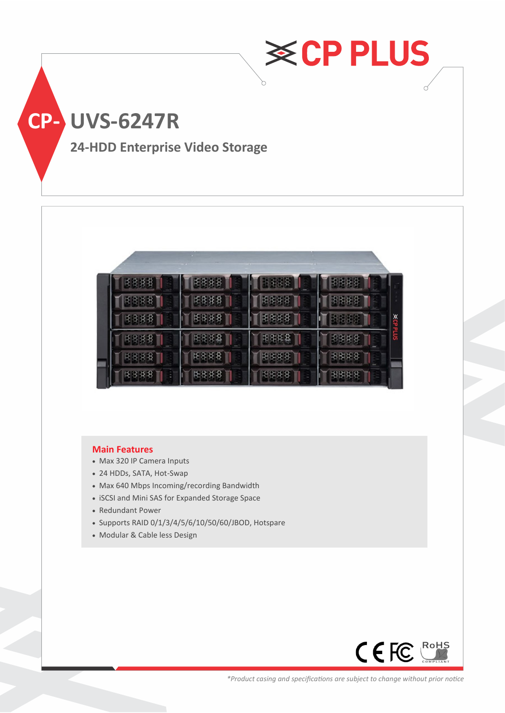

|   | <b>XCPPLUS</b> |
|---|----------------|
|   |                |
| ö |                |
|   |                |

#### **Main Features**

- Max 320 IP Camera Inputs
- 24 HDDs, SATA, Hot-Swap
- Max 640 Mbps Incoming/recording Bandwidth
- iSCSI and Mini SAS for Expanded Storage Space
- Redundant Power
- Supports RAID 0/1/3/4/5/6/10/50/60/JBOD, Hotspare
- Modular & Cable less Design

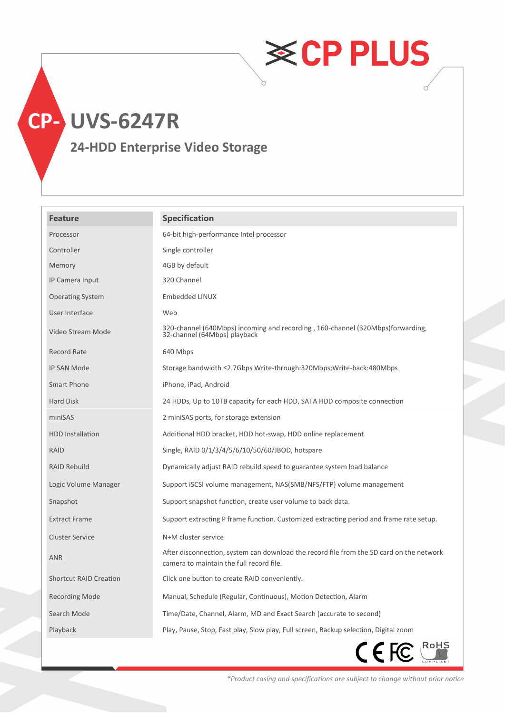# **CP- UVS-6247R**

### **24-HDD Enterprise Video Storage**

| <b>Feature</b>                | <b>Specification</b>                                                                                                                 |
|-------------------------------|--------------------------------------------------------------------------------------------------------------------------------------|
| Processor                     | 64-bit high-performance Intel processor                                                                                              |
| Controller                    | Single controller                                                                                                                    |
| Memory                        | 4GB by default                                                                                                                       |
| IP Camera Input               | 320 Channel                                                                                                                          |
| <b>Operating System</b>       | Embedded LINUX                                                                                                                       |
| User Interface                | Web                                                                                                                                  |
| Video Stream Mode             | 320-channel (640Mbps) incoming and recording, 160-channel (320Mbps)forwarding,<br>32-channel (64Mbps) playback                       |
| <b>Record Rate</b>            | 640 Mbps                                                                                                                             |
| IP SAN Mode                   | Storage bandwidth ≤2.7Gbps Write-through:320Mbps; Write-back: 480Mbps                                                                |
| Smart Phone                   | iPhone, iPad, Android                                                                                                                |
| Hard Disk                     | 24 HDDs, Up to 10TB capacity for each HDD, SATA HDD composite connection                                                             |
| miniSAS                       | 2 miniSAS ports, for storage extension                                                                                               |
| <b>HDD</b> Installation       | Additional HDD bracket, HDD hot-swap, HDD online replacement                                                                         |
| RAID                          | Single, RAID 0/1/3/4/5/6/10/50/60/JBOD, hotspare                                                                                     |
| <b>RAID Rebuild</b>           | Dynamically adjust RAID rebuild speed to guarantee system load balance                                                               |
| Logic Volume Manager          | Support iSCSI volume management, NAS(SMB/NFS/FTP) volume management                                                                  |
| Snapshot                      | Support snapshot function, create user volume to back data.                                                                          |
| <b>Extract Frame</b>          | Support extracting P frame function. Customized extracting period and frame rate setup.                                              |
| <b>Cluster Service</b>        | N+M cluster service                                                                                                                  |
| <b>ANR</b>                    | After disconnection, system can download the record file from the SD card on the network<br>camera to maintain the full record file. |
| <b>Shortcut RAID Creation</b> | Click one button to create RAID conveniently.                                                                                        |
| <b>Recording Mode</b>         | Manual, Schedule (Regular, Continuous), Motion Detection, Alarm                                                                      |
| Search Mode                   | Time/Date, Channel, Alarm, MD and Exact Search (accurate to second)                                                                  |
| Playback                      | Play, Pause, Stop, Fast play, Slow play, Full screen, Backup selection, Digital zoom                                                 |
|                               | CEFC <sup>RoHS</sup>                                                                                                                 |

*\*Product casing and specifications are subject to change without prior notice*

**≋CPPLUS**